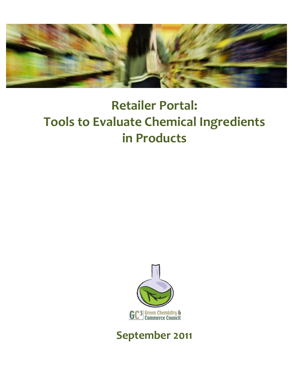

# **Retailer Portal: Tools to Evaluate Chemical Ingredients in Products**



# **September 2011**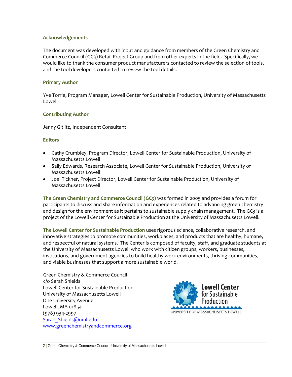#### **Acknowledgements**

The document was developed with input and guidance from members of the Green Chemistry and Commerce Council (GC3) Retail Project Group and from other experts in the field. Specifically, we would like to thank the consumer product manufacturers contacted to review the selection of tools, and the tool developers contacted to review the tool details.

#### **Primary Author**

Yve Torrie, Program Manager, Lowell Center for Sustainable Production, University of Massachusetts Lowell

#### **Contributing Author**

Jenny Gitlitz, Independent Consultant

#### **Editors**

- Cathy Crumbley, Program Director, Lowell Center for Sustainable Production, University of Massachusetts Lowell
- Sally Edwards, Research Associate, Lowell Center for Sustainable Production, University of Massachusetts Lowell
- Joel Tickner, Project Director, Lowell Center for Sustainable Production, University of Massachusetts Lowell

**The Green Chemistry and Commerce Council (GC3)** was formed in 2005 and provides a forum for participants to discuss and share information and experiences related to advancing green chemistry and design for the environment as it pertains to sustainable supply chain management. The GC3 is a project of the Lowell Center for Sustainable Production at the University of Massachusetts Lowell.

**The Lowell Center for Sustainable Production** uses rigorous science, collaborative research, and innovative strategies to promote communities, workplaces, and products that are healthy, humane, and respectful of natural systems. The Center is composed of faculty, staff, and graduate students at the University of Massachusetts Lowell who work with citizen groups, workers, businesses, institutions, and government agencies to build healthy work environments, thriving communities, and viable businesses that support a more sustainable world.

Green Chemistry & Commerce Council c/o Sarah Shields Lowell Center for Sustainable Production University of Massachusetts Lowell One University Avenue Lowell, MA 01854 (978) 934‐2997 Sarah Shields@uml.edu [www.greenchemistryandcommerce.org](http://www.greenchemistryandcommerce.org/)

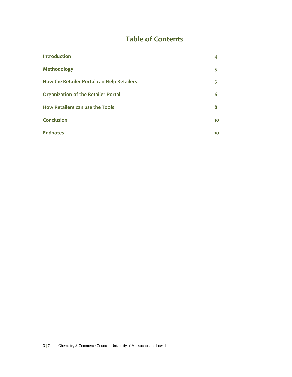# **Table of Contents**

| <b>Introduction</b>                        | 4  |
|--------------------------------------------|----|
| <b>Methodology</b>                         | 5  |
| How the Retailer Portal can Help Retailers | 5  |
| <b>Organization of the Retailer Portal</b> | 6  |
| How Retailers can use the Tools            | 8  |
| <b>Conclusion</b>                          | 10 |
| <b>Endnotes</b>                            | 10 |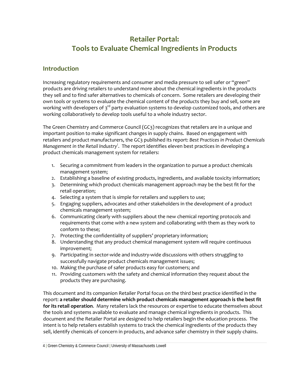# **Retailer Portal: Tools to Evaluate Chemical Ingredients in Products**

## **Introduction**

Increasing regulatory requirements and consumer and media pressure to sell safer or "green" products are driving retailers to understand more about the chemical ingredients in the products they sell and to find safer alternatives to chemicals of concern. Some retailers are developing their own tools or systems to evaluate the chemical content of the products they buy and sell, some are working with developers of  $3<sup>rd</sup>$  party evaluation systems to develop customized tools, and others are working collaboratively to develop tools useful to a whole industry sector.

The Green Chemistry and Commerce Council (GC3) recognizes that retailers are in a unique and important position to make significant changes in supply chains. Based on engagement with retailers and product manufacturers, the GC3 published its report: *Best Practices in Product Chemicals Management in the Retail Industry[i](#page-9-0)* . The report identifies eleven best practices in developing a product chemicals management system for retailers:

- 1. Securing a commitment from leaders in the organization to pursue a product chemicals management system;
- 2. Establishing a baseline of existing products, ingredients, and available toxicity information;
- 3. Determining which product chemicals management approach may be the best fit for the retail operation;
- 4. Selecting a system that is simple for retailers and suppliers to use;
- 5. Engaging suppliers, advocates and other stakeholders in the development of a product chemicals management system;
- 6. Communicating clearly with suppliers about the new chemical reporting protocols and requirements that come with a new system and collaborating with them as they work to conform to these;
- 7. Protecting the confidentiality of suppliers' proprietary information;
- 8. Understanding that any product chemical management system will require continuous improvement;
- 9. Participating in sector‐wide and industry‐wide discussions with others struggling to successfully navigate product chemicals management issues;
- 10. Making the purchase of safer products easy for customers; and
- 11. Providing customers with the safety and chemical information they request about the products they are purchasing.

This document and its companion Retailer Portal focus on the third best practice identified in the report: **a retailer should determine which product chemicals management approach is the best fit for its retail operation**. Many retailers lack the resources or expertise to educate themselves about the tools and systems available to evaluate and manage chemical ingredients in products. This document and the Retailer Portal are designed to help retailers begin the education process. The intent is to help retailers establish systems to track the chemical ingredients of the products they sell, identify chemicals of concern in products, and advance safer chemistry in their supply chains.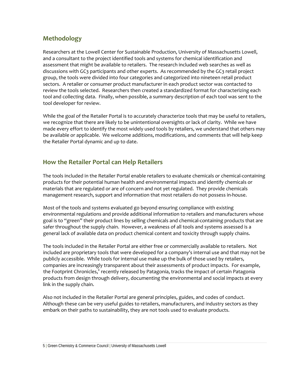# **Methodology**

Researchers at the Lowell Center for Sustainable Production, University of Massachusetts Lowell, and a consultant to the project identified tools and systems for chemical identification and assessment that might be available to retailers. The research included web searches as well as discussions with GC3 participants and other experts. As recommended by the GC3 retail project group, the tools were divided into four categories and categorized into nineteen retail product sectors. A retailer or consumer product manufacturer in each product sector was contacted to review the tools selected. Researchers then created a standardized format for characterizing each tool and collecting data. Finally, when possible, a summary description of each tool was sent to the tool developer for review.

While the goal of the Retailer Portal is to accurately characterize tools that may be useful to retailers, we recognize that there are likely to be unintentional oversights or lack of clarity. While we have made every effort to identify the most widely used tools by retailers, we understand that others may be available or applicable. We welcome additions, modifications, and comments that will help keep the Retailer Portal dynamic and up to date.

## **How the Retailer Portal can Help Retailers**

The tools included in the Retailer Portal enable retailers to evaluate chemicals or chemical‐containing products for their potential human health and environmental impacts and identify chemicals or materials that are regulated or are of concern and not yet regulated. They provide chemicals management research, support and information that most retailers do not possess in‐house.

Most of the tools and systems evaluated go beyond ensuring compliance with existing environmental regulations and provide additional information to retailers and manufacturers whose goal is to "green" their product lines by selling chemicals and chemical-containing products that are safer throughout the supply chain. However, a weakness of all tools and systems assessed is a general lack of available data on product chemical content and toxicity through supply chains.

The tools included in the Retailer Portal are either free or commercially available to retailers. Not included are proprietary tools that were developed for a company's internal use and that may not be publicly accessible. While tools for internal use make up the bulk of those used by retailers, companies are increasingly transparent about their assessments of product impacts. For example, the Footprint Chronicles," recently released by Patagonia, tracks the impact of certain Patagonia products from design through delivery, documenting the environmental and social impacts at every link in the supply chain.

Also not included in the Retailer Portal are general principles, guides, and codes of conduct. Although these can be very useful guides to retailers, manufacturers, and industry sectors as they embark on their paths to sustainability, they are not tools used to evaluate products.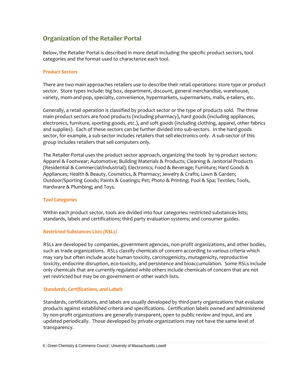# **Organization of the Retailer Portal**

Below, the Retailer Portal is described in more detail including the specific product sectors, tool categories and the format used to characterize each tool.

#### *Product Sectors*

There are two main approaches retailers use to describe their retail operations: store type or product sector. Store types include: big box, department, discount, general merchandise, warehouse, variety, mom‐and‐pop, specialty, convenience, hypermarkets, supermarkets, malls, e‐tailers, etc.

Generally, a retail operation is classified by product sector or the type of products sold. The three main product sectors are food products (including pharmacy), hard goods (including appliances, electronics, furniture, sporting goods, etc.), and soft goods (including clothing, apparel, other fabrics and supplies). Each of these sectors can be further divided into sub‐sectors. In the hard goods sector, for example, a sub-sector includes retailers that sell electronics only. A sub-sector of this group includes retailers that sell computers only.

The Retailer Portal uses the product sector approach, organizing the tools by 19 product sectors: Apparel & Footwear; Automotive; Building Materials & Products; Cleaning & Janitorial Products (Residential & Commercial/Industrial); Electronics; Food & Beverage; Furniture; Hard Goods & Appliances; Health & Beauty, Cosmetics, & Pharmacy; Jewelry & Crafts; Lawn & Garden; Outdoor/Sporting Goods; Paints & Coatings; Pet; Photo & Printing; Pool & Spa; Textiles; Tools, Hardware & Plumbing; and Toys.

#### *Tool Categories*

Within each product sector, tools are divided into four categories: restricted substances lists; standards, labels and certifications; third party evaluation systems; and consumer guides.

#### *Restricted Substances Lists (RSLs)*

RSLs are developed by companies, government agencies, non‐profit organizations, and other bodies, such as trade organizations. RSLs classify chemicals of concern according to various criteria which may vary but often include acute human toxicity, carcinogenicity, mutagenicity, reproductive toxicity, endocrine disruption, eco‐toxicity, and persistence and bioaccumulation. Some RSLs include only chemicals that are currently regulated while others include chemicals of concern that are not yet restricted but may be on government or other watch lists.

#### *Standards, Certifications, and Labels*

Standards, certifications, and labels are usually developed by third‐party organizations that evaluate products against established criteria and specifications. Certification labels owned and administered by non-profit organizations are generally transparent, open to public review and input, and are updated periodically. Those developed by private organizations may not have the same level of transparency.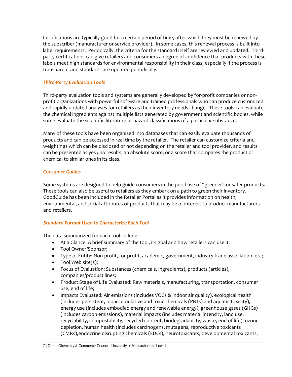Certifications are typically good for a certain period of time, after which they must be renewed by the subscriber (manufacturer or service provider). In some cases, this renewal process is built into label requirements. Periodically, the criteria for the standard itself are reviewed and updated. Thirdparty certifications can give retailers and consumers a degree of confidence that products with these labels meet high standards for environmental responsibility in their class, especially if the process is transparent and standards are updated periodically.

#### *Third‐Party Evaluation Tools*

Third‐party evaluation tools and systems are generally developed by for‐profit companies or non‐ profit organizations with powerful software and trained professionals who can produce customized and rapidly updated analyses for retailers as their inventory needs change. These tools can evaluate the chemical ingredients against multiple lists generated by government and scientific bodies, while some evaluate the scientific literature or hazard classifications of a particular substance.

Many of these tools have been organized into databases that can easily evaluate thousands of products and can be accessed in real time by the retailer. The retailer can customize criteria and weightings which can be disclosed or not depending on the retailer and tool provider, and results can be presented as yes / no results, an absolute score, or a score that compares the product or chemical to similar ones in its class.

#### *Consumer Guides*

Some systems are designed to help guide consumers in the purchase of "greener" or safer products. These tools can also be useful to retailers as they embark on a path to green their inventory. GoodGuide has been included in the Retailer Portal as it provides information on health, environmental, and social attributes of products that may be of interest to product manufacturers and retailers.

#### *Standard Format Used to Characterize Each Tool*

The data summarized for each tool include:

- At a Glance: A brief summary of the tool, its goal and how retailers can use it;
- Tool Owner/Sponsor;
- Type of Entity: Non-profit, for-profit, academic, government, industry trade association, etc;
- Tool Web site(s);
- Focus of Evaluation: Substances (chemicals, ingredients), products (articles), companies/product lines;
- Product Stage of Life Evaluated: Raw materials, manufacturing, transportation, consumer use, end of life;
- Impacts Evaluated: Air emissions (includes VOCs & indoor air quality), ecological health (includes persistent, bioaccumulative and toxic chemicals (PBTs) and aquatic toxicity), energy use (includes embodied energy and renewable energy), greenhouse gases (GHGs) (includes carbon emissions), material impacts (includes material intensity, land use, recyclability, compostability, recycled content, biodegradability, waste, end of life), ozone depletion, human health (includes carcinogens, mutagens, reproductive toxicants (CMRs),endocrine disrupting chemicals (EDCs), neurotoxicants, developmental toxicants,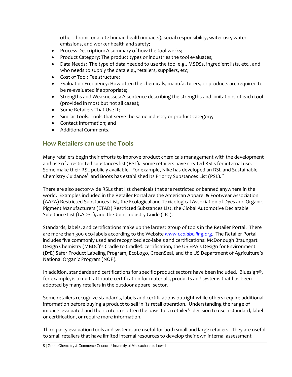other chronic or acute human health impacts), social responsibility, water use, water emissions, and worker health and safety;

- Process Description: A summary of how the tool works;
- Product Category: The product types or industries the tool evaluates;
- Data Needs: The type of data needed to use the tool e.g., MSDSs, ingredient lists, etc., and who needs to supply the data e.g., retailers, suppliers, etc;
- Cost of Tool: Fee structure;
- Evaluation Frequency: How often the chemicals, manufacturers, or products are required to be re-evaluated if appropriate;
- Strengths and Weaknesses: A sentence describing the strengths and limitations of each tool (provided in most but not all cases);
- Some Retailers That Use It;
- Similar Tools: Tools that serve the same industry or product category;
- Contact Information; and
- Additional Comments.

### **How Retailers can use the Tools**

Many retailers begin their efforts to improve product chemicals management with the development and use of a restricted substances list (RSL). Some retailers have created RSLs for internal use. Some make their RSL publicly available. For example, Nike has developed an RSL and Sustainable Chemistry Guidance<sup>[iii](#page-9-1)</sup> and Boots has established its Priority Substances List (PSL).<sup>[iv](#page-9-1)</sup>

There are also sector‐wide RSLs that list chemicals that are restricted or banned anywhere in the world. Examples included in the Retailer Portal are the American Apparel & Footwear Association (AAFA) Restricted Substances List, the Ecological and Toxicological Association of Dyes and Organic Pigment Manufacturers (ETAD) Restricted Substances List, the Global Automotive Declarable Substance List (GADSL), and the Joint Industry Guide (JIG).

Standards, labels, and certifications make up the largest group of tools in the Retailer Portal. There are more than 300 eco‐labels according to the Website *[www.ecolabelling.org](http://www.ecolabelling.org/)*. The Retailer Portal includes five commonly used and recognized eco-labels and certifications: McDonough Braungart Design Chemistry (MBDC)'s Cradle to Cradle® certification, the US EPA's Design for Environment (DfE) Safer Product Labeling Program, EcoLogo, GreenSeal, and the US Department of Agriculture's National Organic Program (NOP).

In addition, standards and certifications for specific product sectors have been included. Bluesign®, for example, is a multi-attribute certification for materials, products and systems that has been adopted by many retailers in the outdoor apparel sector.

Some retailers recognize standards, labels and certifications outright while others require additional information before buying a product to sell in its retail operation. Understanding the range of impacts evaluated and their criteria is often the basis for a retailer's decision to use a standard, label or certification, or require more information.

Third‐party evaluation tools and systems are useful for both small and large retailers. They are useful to small retailers that have limited internal resources to develop their own internal assessment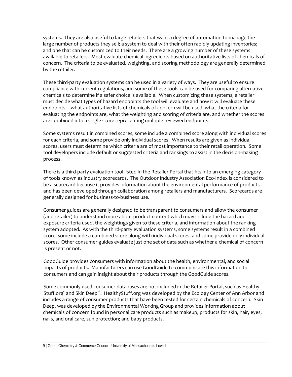systems. They are also useful to large retailers that want a degree of automation to manage the large number of products they sell; a system to deal with their often rapidly updating inventories; and one that can be customized to their needs. There are a growing number of these systems available to retailers. Most evaluate chemical ingredients based on authoritative lists of chemicals of concern. The criteria to be evaluated, weighting, and scoring methodology are generally determined by the retailer.

These third-party evaluation systems can be used in a variety of ways. They are useful to ensure compliance with current regulations, and some of these tools can be used for comparing alternative chemicals to determine if a safer choice is available. When customizing these systems, a retailer must decide what types of hazard endpoints the tool will evaluate and how it will evaluate these endpoints––what authoritative lists of chemicals of concern will be used, what the criteria for evaluating the endpoints are, what the weighting and scoring of criteria are, and whether the scores are combined into a single score representing multiple reviewed endpoints.

Some systems result in combined scores, some include a combined score along with individual scores for each criteria, and some provide only individual scores. When results are given as individual scores, users must determine which criteria are of most importance to their retail operation. Some tool developers include default or suggested criteria and rankings to assist in the decision‐making process.

There is a third‐party evaluation tool listed in the Retailer Portal that fits into an emerging category of tools known as industry scorecards. The Outdoor Industry Association Eco‐Index is considered to be a scorecard because it provides information about the environmental performance of products and has been developed through collaboration among retailers and manufacturers. Scorecards are generally designed for business‐to‐business use.

Consumer guides are generally designed to be transparent to consumers and allow the consumer (and retailer) to understand more about product content which may include the hazard and exposure criteria used, the weightings given to these criteria, and information about the ranking system adopted. As with the third-party evaluation systems, some systems result in a combined score, some include a combined score along with individual scores, and some provide only individual scores. Other consumer guides evaluate just one set of data such as whether a chemical of concern is present or not.

GoodGuide provides consumers with information about the health, environmental, and social impacts of products. Manufacturers can use GoodGuide to communicate this information to consumers and can gain insight about their products through the GoodGuide scores.

Some commonly used consumer databases are not included in the Retailer Portal, such as Healthy Stuff.org<sup>y</sup> and Skin Deep<sup>[vi](#page-9-1)</sup>. HealthyStuff.org was developed by the Ecology Center of Ann Arbor and includes a range of consumer products that have been tested for certain chemicals of concern. Skin Deep, was developed by the Environmental Working Group and provides information about chemicals of concern found in personal care products such as makeup, products for skin, hair, eyes, nails, and oral care, sun protection; and baby products.